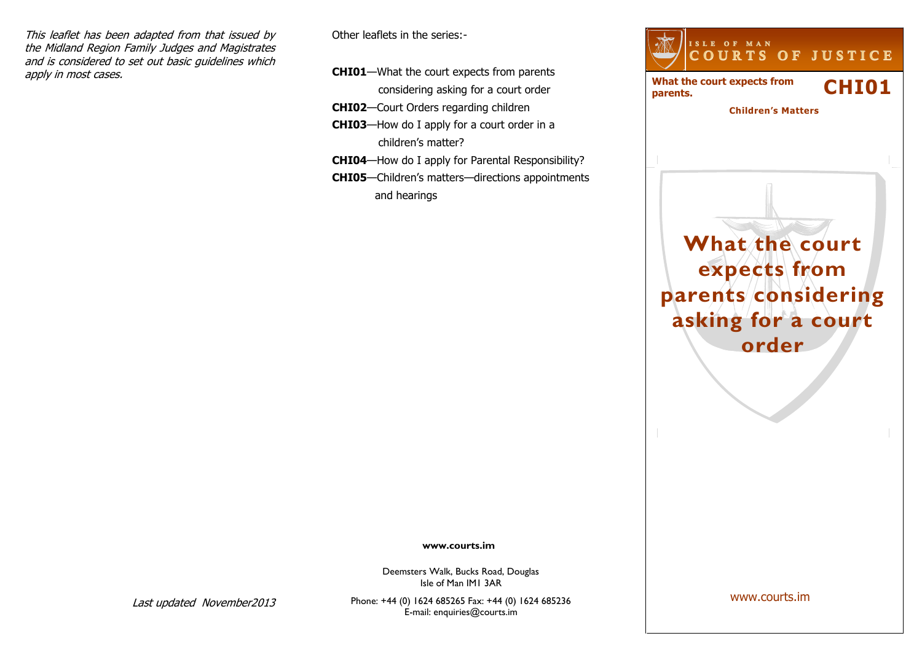This leaflet has been adapted from that issued by the Midland Region Family Judges and Magistrates and is considered to set out basic guidelines which apply in most cases.

Other leaflets in the series:-

- **CHI01**—What the court expects from parents considering asking for a court order
- **CHI02**—Court Orders regarding children
- **CHI03**—How do I apply for a court order in a children's matter?
- **CHI04**—How do I apply for Parental Responsibility?
- **CHI05**—Children's matters—directions appointments and hearings



**www.courts.im**

Deemsters Walk, Bucks Road, Douglas Isle of Man IM1 3AR

Last updated November2013

Phone: +44 (0) 1624 685265 Fax: +44 (0) 1624 685236 E-mail: enquiries@courts.im

www.courts.im